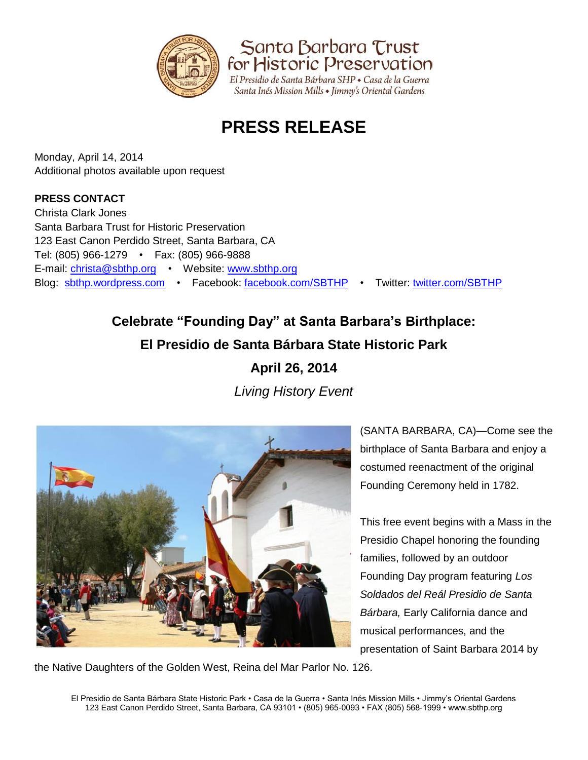

Santa Barbara Trust for Historic Preservation El Presidio de Santa Bárbara SHP · Casa de la Guerra

Santa Inés Mission Mills • Jimmy's Oriental Gardens

# **PRESS RELEASE**

Monday, April 14, 2014 Additional photos available upon request

### **PRESS CONTACT**

Christa Clark Jones Santa Barbara Trust for Historic Preservation 123 East Canon Perdido Street, Santa Barbara, CA Tel: (805) 966-1279 • Fax: (805) 966-9888 E-mail: [christa@sbthp.org](mailto:christa@sbthp.org) • Website: [www.sbthp.org](http://www.sbthp.org/) Blog: [sbthp.wordpress.com](http://sbthp.wordpress.com/) • Facebook: [facebook.com/SBTHP](http://www.facebook.com/SBTHP) • Twitter: [twitter.com/SBTHP](http://twitter.com/SBTHP)

## **Celebrate "Founding Day" at Santa Barbara's Birthplace: El Presidio de Santa Bárbara State Historic Park**

**April 26, 2014** *Living History Event*



(SANTA BARBARA, CA)—Come see the birthplace of Santa Barbara and enjoy a costumed reenactment of the original Founding Ceremony held in 1782.

This free event begins with a Mass in the Presidio Chapel honoring the founding families, followed by an outdoor Founding Day program featuring *Los Soldados del Reál Presidio de Santa Bárbara,* Early California dance and musical performances, and the presentation of Saint Barbara 2014 by

the Native Daughters of the Golden West, Reina del Mar Parlor No. 126.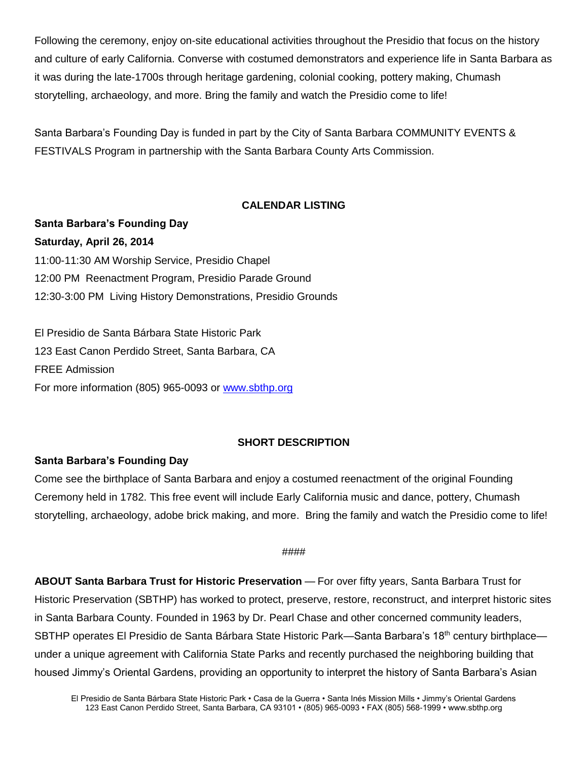Following the ceremony, enjoy on-site educational activities throughout the Presidio that focus on the history and culture of early California. Converse with costumed demonstrators and experience life in Santa Barbara as it was during the late-1700s through heritage gardening, colonial cooking, pottery making, Chumash storytelling, archaeology, and more. Bring the family and watch the Presidio come to life!

Santa Barbara's Founding Day is funded in part by the City of Santa Barbara COMMUNITY EVENTS & FESTIVALS Program in partnership with the Santa Barbara County Arts Commission.

#### **CALENDAR LISTING**

**Santa Barbara's Founding Day Saturday, April 26, 2014** 11:00-11:30 AM Worship Service, Presidio Chapel 12:00 PM Reenactment Program, Presidio Parade Ground 12:30-3:00 PM Living History Demonstrations, Presidio Grounds

El Presidio de Santa Bárbara State Historic Park 123 East Canon Perdido Street, Santa Barbara, CA FREE Admission For more information (805) 965-0093 or [www.sbthp.org](http://www.sbthp.org/)

#### **SHORT DESCRIPTION**

#### **Santa Barbara's Founding Day**

Come see the birthplace of Santa Barbara and enjoy a costumed reenactment of the original Founding Ceremony held in 1782. This free event will include Early California music and dance, pottery, Chumash storytelling, archaeology, adobe brick making, and more. Bring the family and watch the Presidio come to life!

#### ####

**ABOUT Santa Barbara Trust for Historic Preservation** — For over fifty years, Santa Barbara Trust for Historic Preservation (SBTHP) has worked to protect, preserve, restore, reconstruct, and interpret historic sites in Santa Barbara County. Founded in 1963 by Dr. Pearl Chase and other concerned community leaders, SBTHP operates El Presidio de Santa Bárbara State Historic Park—Santa Barbara's 18<sup>th</sup> century birthplace under a unique agreement with California State Parks and recently purchased the neighboring building that housed Jimmy's Oriental Gardens, providing an opportunity to interpret the history of Santa Barbara's Asian